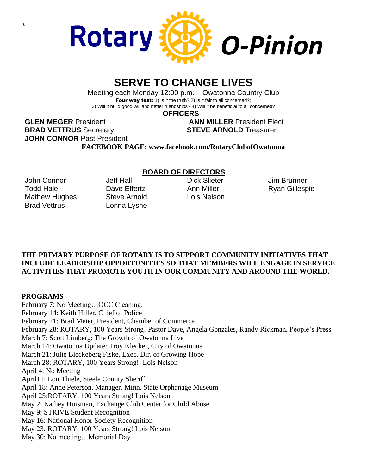

# **SERVE TO CHANGE LIVES**

Meeting each Monday 12:00 p.m. – Owatonna Country Club Four way test: 1) Is it the truth? 2) Is it fair to all concerned?; 3) Will it build good will and better friendships? 4) Will it be beneficial to all concerned?

 **OFFICERS**

**GLEN MEGER** President **ANN MILLER** President Elect **BRAD VETTRUS** Secretary **STEVE ARNOLD** Treasurer **JOHN CONNOR** Past President

**FACEBOOK PAGE: www.facebook.com/RotaryClubofOwatonna**

John Connor Todd Hale Mathew Hughes Brad Vettrus

Jeff Hall Dave Effertz Steve Arnold Lonna Lysne

### **BOARD OF DIRECTORS**

Dick Slieter Ann Miller Lois Nelson Jim Brunner Ryan Gillespie

#### **THE PRIMARY PURPOSE OF ROTARY IS TO SUPPORT COMMUNITY INITIATIVES THAT INCLUDE LEADERSHIP OPPORTUNITIES SO THAT MEMBERS WILL ENGAGE IN SERVICE ACTIVITIES THAT PROMOTE YOUTH IN OUR COMMUNITY AND AROUND THE WORLD.**

#### **PROGRAMS**

February 7: No Meeting…OCC Cleaning. February 14: Keith Hiller, Chief of Police February 21: Brad Meier, President, Chamber of Commerce February 28: ROTARY, 100 Years Strong! Pastor Dave, Angela Gonzales, Randy Rickman, People's Press March 7: Scott Limberg: The Growth of Owatonna Live March 14: Owatonna Update: Troy Klecker, City of Owatonna March 21: Julie Bleckeberg Fiske, Exec. Dir. of Growing Hope March 28: ROTARY, 100 Years Strong!: Lois Nelson April 4: No Meeting April11: Lon Thiele, Steele County Sheriff April 18: Anne Peterson, Manager, Minn. State Orphanage Museum April 25:ROTARY, 100 Years Strong! Lois Nelson May 2: Kathey Huisman, Exchange Club Center for Child Abuse May 9: STRIVE Student Recognition May 16: National Honor Society Recognition May 23: ROTARY, 100 Years Strong! Lois Nelson May 30: No meeting…Memorial Day